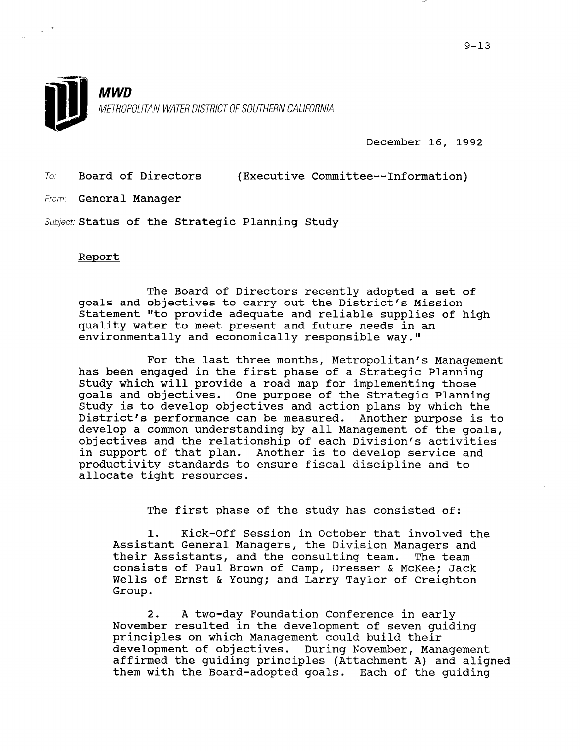

December 16, 1992

To: Board of Directors (Executive Committee--Information)

From: **General Manager** 

Subject: Status of the Strategic Planning Study

## Report

The Board of Directors recently adopted a set of goals and objectives to carry out the District's Mission Statement "to provide adequate and reliable supplies of high quality water to meet present and future needs in an environmentally and economically responsible way."

For the last three months, Metropolitan's Management has been engaged in the first phase of a Strategic Planning Study which will provide a road map for implementing those goals and objectives. One purpose of the Strategic Planning Study is to develop objectives and action plans by which the District's performance can be measured. Another purpose is to develop a common understanding by all Management of the goals, objectives and the relationship of each Division's activities in support of that plan. Another is to develop service and productivity standards to ensure fiscal discipline and to allocate tight resources.

The first phase of the study has consisted of:

1. Kick-Off Session in October that involved the Assistant General Managers, the Division Managers and their Assistants, and the consulting team. The team cheir Assistants, and the Consulting team. The team CONSISTS OF FAUL DIOWN OF CAMP, DIESSEL & MCNEE, JA Wells of Ernst & Young; and Larry Taylor of Creighton Group.

2. A two-day Foundation Conference in early 2. A two-day roundation conference in early<br>November resulted in the development of seven guiding november resulted in the development of seven or seven of the seven of the seven of the seven of the seven of the seven of the seven of the seven of the seven of the seven of the seven of the seven of the seven of the seve principles on which Management could build their development of objectives. During November, Management affirmed the guiding principles (Attachment A) and aligned<br>them with the Board-adopted goals. Each of the guiding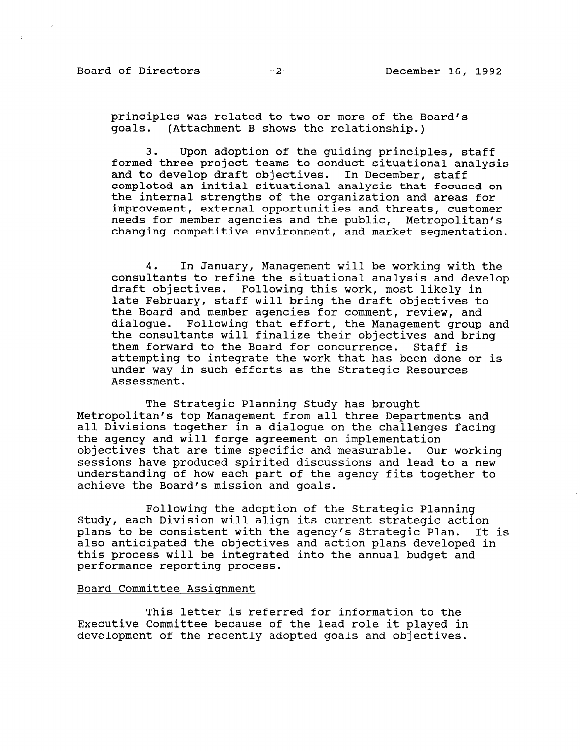principles was related to two or more of the Board's goals. (Attachment B shows the relationship.)

3. Upon adoption of the guiding principles, staff formed three project teams to conduct situational analysis and to develop draft objectives. In December, staf completed an initial situational analysis that focused on the internal strengths of the organization and areas for improvement, external opportunities and threats, customer needs for member agencies and the public, Metropolitan's changing competitive environment, and market segmentation.

4. In January, Management will be working with the consultants to refine the situational analysis and develop draft objectives. Following this work, most likely in late February, staff will bring the draft objectives to the Board and member agencies for comment, review, and dialogue. Following that effort, the Management group and the consultants will finalize their objectives and bring them forward to the Board for concurrence. Staff is attempting to integrate the work that has been done or is under way in such efforts as the Strategic Resources Assessment.

The Strategic Planning Study has brought Metropolitan's top Management from all three Departments and all Divisions together in a dialoque on the challenges facing the agency and will forge agreement on implementation objectives that are time specific and measurable. Our working sessions have produced spirited discussions and lead to a new understanding of how each part of the agency fits together to achieve the Board's mission and goals.

Following the adoption of the Strategic Planning Study, each Division will align its current strategic action plans to be consistent with the agency's Strategic Plan. It is also anticipated the objectives and action plans developed in atho anticipated the objectives and action pians developed performance reporting process.

## Board Committee Assignment

This letter is referred for information to the Executive Committee because of the lead role it played in development of the recently adopted goals and objectives.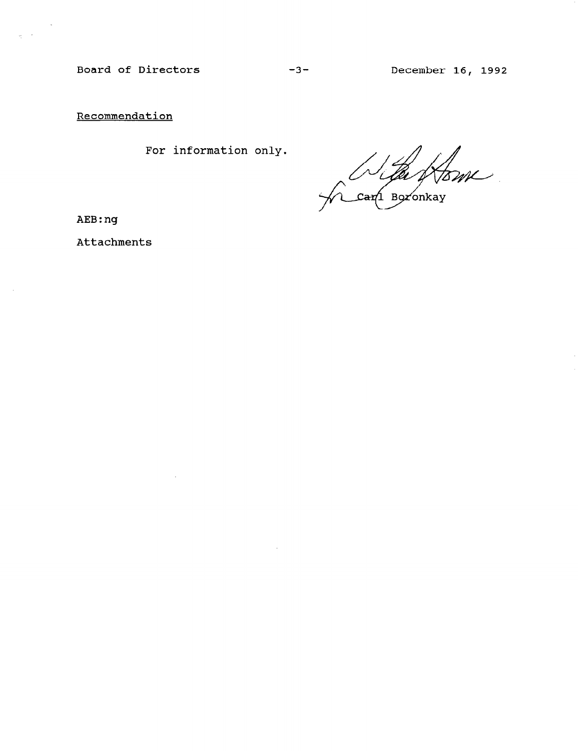Board of Directors

**Recommendation** 

For information only.

 $\overline{\mathcal{K}}$ Cam Boronkay

AEB:ng

 $\sim$  $\tilde{Q}^{(1)}_{\mu\nu}$ 

 $\sim 10^6$ 

Attachments

 $\mathcal{A}^{\mathcal{A}}$ 

 $\sim 10^7$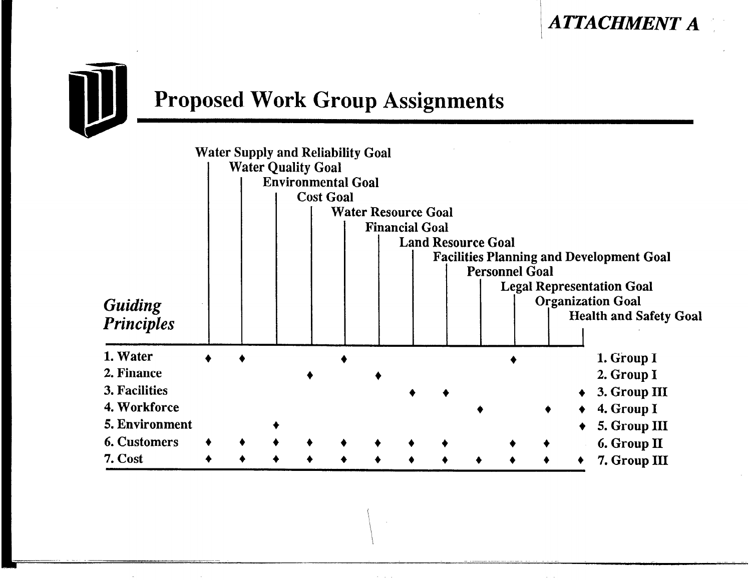) ATTACHMENT A



## Proposed Work Group Assignments

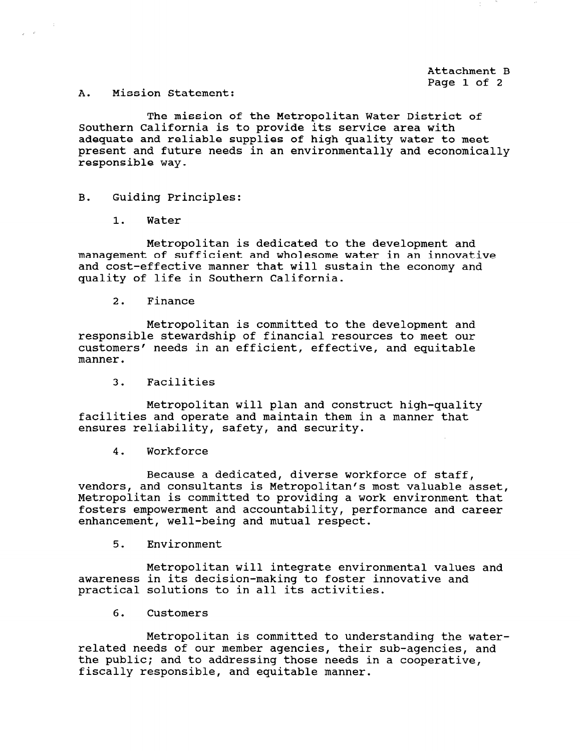A. Mission Statement:

The mission of the Metropolitan Water District of Southern California is to provide its service area with adequate and reliable supplies of high quality water to meet present and future needs in an environmentally and economically responsible way.

- B. Guiding Principles:
	- 1. Water

Metropolitan is dedicated to the development and management of sufficient and wholesome water in an innovative and cost-effective manner that will sustain the economy and quality of life in Southern California.

2. Finance

Metropolitan is committed to the development and responsible stewardship of financial resources to meet our customers' needs in an efficient, effective, and equitable manner.

3. Facilities

Metropolitan will plan and construct high-quality facilities and operate and maintain them in a manner that ensures reliability, safety, and security.

4. Workforce

Because a dedicated, diverse workforce of staff, vendors, and consultants is Metropolitan's most valuable asset, Metropolitan is committed to providing a work environment that fosters empowerment and accountability, performance and career enhancement, well-being and mutual respect.

5. Environment

Metropolitan will integrate environmental values and awareness in its decision-making to foster innovative and practical solutions to in all its activities.

6. Customers

Metropolitan is committed to understanding the waterrecroportian is committed to understanding the water the public state of the dependences, check supercreations the public; and to addressing those needs in a cooperative, fiscally responsible, and equitable manner.